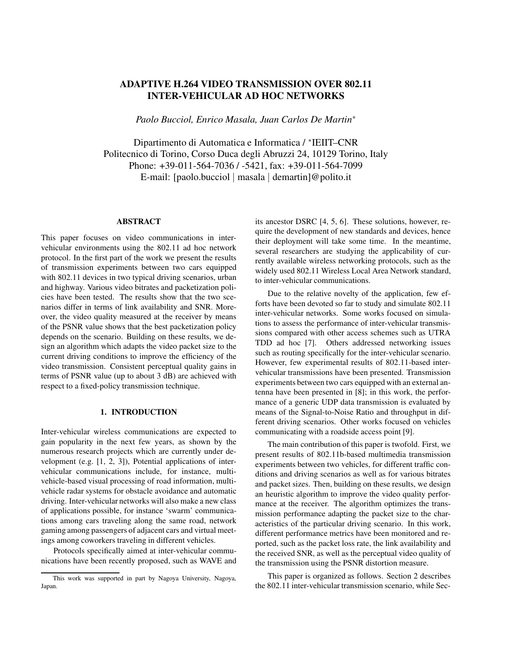# ADAPTIVE H.264 VIDEO TRANSMISSION OVER 802.11 INTER-VEHICULAR AD HOC NETWORKS

*Paolo Bucciol, Enrico Masala, Juan Carlos De Martin*<sup>∗</sup>

Dipartimento di Automatica e Informatica / ∗ IEIIT–CNR Politecnico di Torino, Corso Duca degli Abruzzi 24, 10129 Torino, Italy Phone: +39-011-564-7036 / -5421, fax: +39-011-564-7099 E-mail: [paolo.bucciol | masala | demartin]@polito.it

#### ABSTRACT

This paper focuses on video communications in intervehicular environments using the 802.11 ad hoc network protocol. In the first part of the work we present the results of transmission experiments between two cars equipped with 802.11 devices in two typical driving scenarios, urban and highway. Various video bitrates and packetization policies have been tested. The results show that the two scenarios differ in terms of link availability and SNR. Moreover, the video quality measured at the receiver by means of the PSNR value shows that the best packetization policy depends on the scenario. Building on these results, we design an algorithm which adapts the video packet size to the current driving conditions to improve the efficiency of the video transmission. Consistent perceptual quality gains in terms of PSNR value (up to about 3 dB) are achieved with respect to a fixed-policy transmission technique.

## 1. INTRODUCTION

Inter-vehicular wireless communications are expected to gain popularity in the next few years, as shown by the numerous research projects which are currently under development (e.g. [1, 2, 3]), Potential applications of intervehicular communications include, for instance, multivehicle-based visual processing of road information, multivehicle radar systems for obstacle avoidance and automatic driving. Inter-vehicular networks will also make a new class of applications possible, for instance 'swarm' communications among cars traveling along the same road, network gaming among passengers of adjacent cars and virtual meetings among coworkers traveling in different vehicles.

Protocols specifically aimed at inter-vehicular communications have been recently proposed, such as WAVE and its ancestor DSRC [4, 5, 6]. These solutions, however, require the development of new standards and devices, hence their deployment will take some time. In the meantime, several researchers are studying the applicability of currently available wireless networking protocols, such as the widely used 802.11 Wireless Local Area Network standard, to inter-vehicular communications.

Due to the relative novelty of the application, few efforts have been devoted so far to study and simulate 802.11 inter-vehicular networks. Some works focused on simulations to assess the performance of inter-vehicular transmissions compared with other access schemes such as UTRA TDD ad hoc [7]. Others addressed networking issues such as routing specifically for the inter-vehicular scenario. However, few experimental results of 802.11-based intervehicular transmissions have been presented. Transmission experiments between two cars equipped with an external antenna have been presented in [8]; in this work, the performance of a generic UDP data transmission is evaluated by means of the Signal-to-Noise Ratio and throughput in different driving scenarios. Other works focused on vehicles communicating with a roadside access point [9].

The main contribution of this paper is twofold. First, we present results of 802.11b-based multimedia transmission experiments between two vehicles, for different traffic conditions and driving scenarios as well as for various bitrates and packet sizes. Then, building on these results, we design an heuristic algorithm to improve the video quality performance at the receiver. The algorithm optimizes the transmission performance adapting the packet size to the characteristics of the particular driving scenario. In this work, different performance metrics have been monitored and reported, such as the packet loss rate, the link availability and the received SNR, as well as the perceptual video quality of the transmission using the PSNR distortion measure.

This paper is organized as follows. Section 2 describes the 802.11 inter-vehicular transmission scenario, while Sec-

This work was supported in part by Nagoya University, Nagoya, Japan.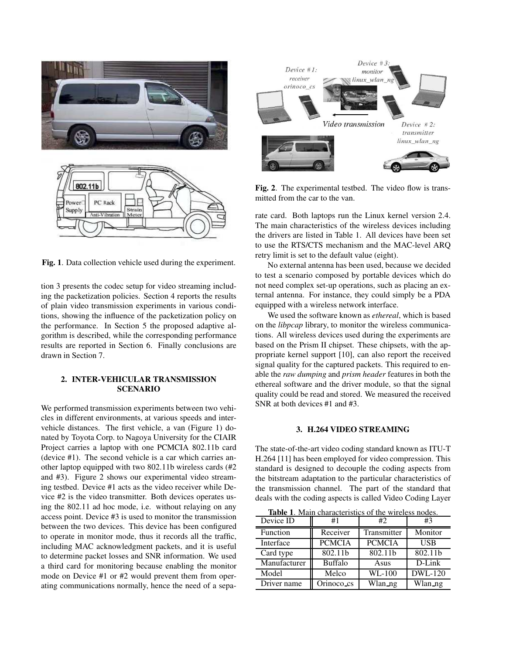

Fig. 1. Data collection vehicle used during the experiment.

tion 3 presents the codec setup for video streaming including the packetization policies. Section 4 reports the results of plain video transmission experiments in various conditions, showing the influence of the packetization policy on the performance. In Section 5 the proposed adaptive algorithm is described, while the corresponding performance results are reported in Section 6. Finally conclusions are drawn in Section 7.

## 2. INTER-VEHICULAR TRANSMISSION SCENARIO

We performed transmission experiments between two vehicles in different environments, at various speeds and intervehicle distances. The first vehicle, a van (Figure 1) donated by Toyota Corp. to Nagoya University for the CIAIR Project carries a laptop with one PCMCIA 802.11b card (device #1). The second vehicle is a car which carries another laptop equipped with two 802.11b wireless cards (#2 and #3). Figure 2 shows our experimental video streaming testbed. Device #1 acts as the video receiver while Device #2 is the video transmitter. Both devices operates using the 802.11 ad hoc mode, i.e. without relaying on any access point. Device #3 is used to monitor the transmission between the two devices. This device has been configured to operate in monitor mode, thus it records all the traffic, including MAC acknowledgment packets, and it is useful to determine packet losses and SNR information. We used a third card for monitoring because enabling the monitor mode on Device #1 or #2 would prevent them from operating communications normally, hence the need of a sepa-



Fig. 2. The experimental testbed. The video flow is transmitted from the car to the van.

rate card. Both laptops run the Linux kernel version 2.4. The main characteristics of the wireless devices including the drivers are listed in Table 1. All devices have been set to use the RTS/CTS mechanism and the MAC-level ARQ retry limit is set to the default value (eight).

No external antenna has been used, because we decided to test a scenario composed by portable devices which do not need complex set-up operations, such as placing an external antenna. For instance, they could simply be a PDA equipped with a wireless network interface.

We used the software known as *ethereal*, which is based on the *libpcap* library, to monitor the wireless communications. All wireless devices used during the experiments are based on the Prism II chipset. These chipsets, with the appropriate kernel support [10], can also report the received signal quality for the captured packets. This required to enable the *raw dumping* and *prism header* features in both the ethereal software and the driver module, so that the signal quality could be read and stored. We measured the received SNR at both devices #1 and #3.

### 3. H.264 VIDEO STREAMING

The state-of-the-art video coding standard known as ITU-T H.264 [11] has been employed for video compression. This standard is designed to decouple the coding aspects from the bitstream adaptation to the particular characteristics of the transmission channel. The part of the standard that deals with the coding aspects is called Video Coding Layer

Table 1. Main characteristics of the wireless nodes. Device ID Function || Receiver | Transmitter | Monitor Interface || PCMCIA | PCMCIA | USB Card type | 802.11b | 802.11b | 802.11b Manufacturer || Buffalo || Asus || D-Link Model | Melco | WL-100 | DWL-120 Driver name | Orinoco cs | Wlan ng | Wlan ng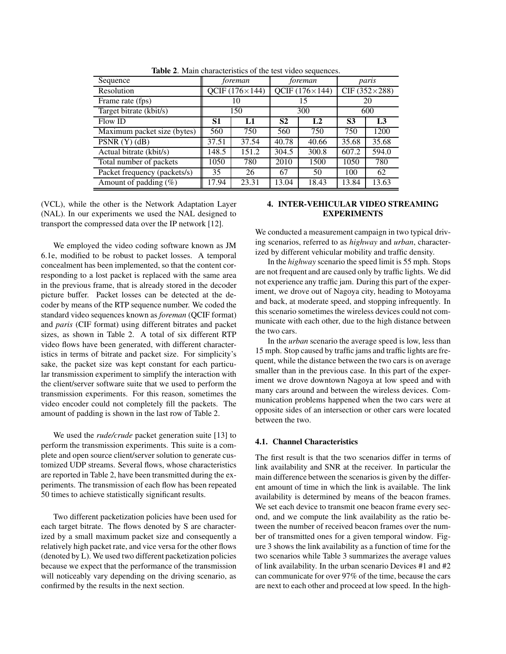| Sequence                     | foreman                 |       | foreman               |                | paris                |                |
|------------------------------|-------------------------|-------|-----------------------|----------------|----------------------|----------------|
| Resolution                   | QCIF $(176 \times 144)$ |       | QCIF $(176\times144)$ |                | CIF $(352\times288)$ |                |
| Frame rate (fps)             | 10                      |       | 15                    |                | 20                   |                |
| Target bitrate (kbit/s)      | 150                     |       | 300                   |                | 600                  |                |
| Flow ID                      | S1                      | L1    | S <sub>2</sub>        | L <sub>2</sub> | S <sub>3</sub>       | L <sub>3</sub> |
| Maximum packet size (bytes)  | 560                     | 750   | 560                   | 750            | 750                  | 1200           |
| PSNR(Y)(dB)                  | 37.51                   | 37.54 | 40.78                 | 40.66          | 35.68                | 35.68          |
| Actual bitrate (kbit/s)      | 148.5                   | 151.2 | 304.5                 | 300.8          | 607.2                | 594.0          |
| Total number of packets      | 1050                    | 780   | 2010                  | 1500           | 1050                 | 780            |
| Packet frequency (packets/s) | 35                      | 26    | 67                    | 50             | 100                  | 62             |
| Amount of padding $(\%)$     | 17.94                   | 23.31 | 13.04                 | 18.43          | 13.84                | 13.63          |

Table 2. Main characteristics of the test video sequences.

(VCL), while the other is the Network Adaptation Layer (NAL). In our experiments we used the NAL designed to transport the compressed data over the IP network [12].

We employed the video coding software known as JM 6.1e, modified to be robust to packet losses. A temporal concealment has been implemented, so that the content corresponding to a lost packet is replaced with the same area in the previous frame, that is already stored in the decoder picture buffer. Packet losses can be detected at the decoder by means of the RTP sequence number. We coded the standard video sequences known as *foreman* (QCIF format) and *paris* (CIF format) using different bitrates and packet sizes, as shown in Table 2. A total of six different RTP video flows have been generated, with different characteristics in terms of bitrate and packet size. For simplicity's sake, the packet size was kept constant for each particular transmission experiment to simplify the interaction with the client/server software suite that we used to perform the transmission experiments. For this reason, sometimes the video encoder could not completely fill the packets. The amount of padding is shown in the last row of Table 2.

We used the *rude/crude* packet generation suite [13] to perform the transmission experiments. This suite is a complete and open source client/server solution to generate customized UDP streams. Several flows, whose characteristics are reported in Table 2, have been transmitted during the experiments. The transmission of each flow has been repeated 50 times to achieve statistically significant results.

Two different packetization policies have been used for each target bitrate. The flows denoted by S are characterized by a small maximum packet size and consequently a relatively high packet rate, and vice versa for the other flows (denoted by L). We used two different packetization policies because we expect that the performance of the transmission will noticeably vary depending on the driving scenario, as confirmed by the results in the next section.

## 4. INTER-VEHICULAR VIDEO STREAMING EXPERIMENTS

We conducted a measurement campaign in two typical driving scenarios, referred to as *highway* and *urban*, characterized by different vehicular mobility and traffic density.

In the *highway* scenario the speed limit is 55 mph. Stops are not frequent and are caused only by traffic lights. We did not experience any traffic jam. During this part of the experiment, we drove out of Nagoya city, heading to Motoyama and back, at moderate speed, and stopping infrequently. In this scenario sometimes the wireless devices could not communicate with each other, due to the high distance between the two cars.

In the *urban* scenario the average speed is low, less than 15 mph. Stop caused by traffic jams and traffic lights are frequent, while the distance between the two cars is on average smaller than in the previous case. In this part of the experiment we drove downtown Nagoya at low speed and with many cars around and between the wireless devices. Communication problems happened when the two cars were at opposite sides of an intersection or other cars were located between the two.

## 4.1. Channel Characteristics

The first result is that the two scenarios differ in terms of link availability and SNR at the receiver. In particular the main difference between the scenarios is given by the different amount of time in which the link is available. The link availability is determined by means of the beacon frames. We set each device to transmit one beacon frame every second, and we compute the link availability as the ratio between the number of received beacon frames over the number of transmitted ones for a given temporal window. Figure 3 shows the link availability as a function of time for the two scenarios while Table 3 summarizes the average values of link availability. In the urban scenario Devices #1 and #2 can communicate for over 97% of the time, because the cars are next to each other and proceed at low speed. In the high-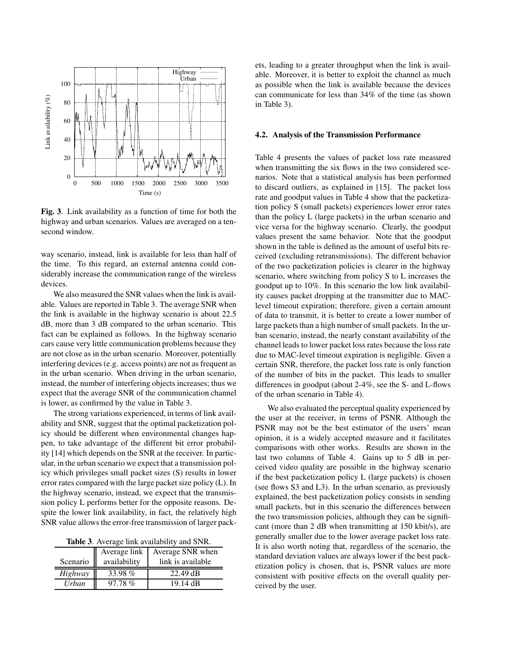

Fig. 3. Link availability as a function of time for both the highway and urban scenarios. Values are averaged on a tensecond window.

way scenario, instead, link is available for less than half of the time. To this regard, an external antenna could considerably increase the communication range of the wireless devices.

We also measured the SNR values when the link is available. Values are reported in Table 3. The average SNR when the link is available in the highway scenario is about 22.5 dB, more than 3 dB compared to the urban scenario. This fact can be explained as follows. In the highway scenario cars cause very little communication problems because they are not close as in the urban scenario. Moreover, potentially interfering devices (e.g. access points) are not as frequent as in the urban scenario. When driving in the urban scenario, instead, the number of interfering objects increases; thus we expect that the average SNR of the communication channel is lower, as confirmed by the value in Table 3.

The strong variations experienced, in terms of link availability and SNR, suggest that the optimal packetization policy should be different when environmental changes happen, to take advantage of the different bit error probability [14] which depends on the SNR at the receiver. In particular, in the urban scenario we expect that a transmission policy which privileges small packet sizes (S) results in lower error rates compared with the large packet size policy  $(L)$ . In the highway scenario, instead, we expect that the transmission policy L performs better for the opposite reasons. Despite the lower link availability, in fact, the relatively high SNR value allows the error-free transmission of larger pack-

Table 3. Average link availability and SNR.

|             | Average link | Average SNR when   |
|-------------|--------------|--------------------|
| Scenario II | availability | link is available  |
| Highway     | 33.98%       | $22.49$ dB         |
| Urban       | 97.78%       | $19.14 \text{ dB}$ |

ets, leading to a greater throughput when the link is available. Moreover, it is better to exploit the channel as much as possible when the link is available because the devices can communicate for less than 34% of the time (as shown in Table 3).

#### 4.2. Analysis of the Transmission Performance

Table 4 presents the values of packet loss rate measured when transmitting the six flows in the two considered scenarios. Note that a statistical analysis has been performed to discard outliers, as explained in [15]. The packet loss rate and goodput values in Table 4 show that the packetization policy S (small packets) experiences lower error rates than the policy L (large packets) in the urban scenario and vice versa for the highway scenario. Clearly, the goodput values present the same behavior. Note that the goodput shown in the table is defined as the amount of useful bits received (excluding retransmissions). The different behavior of the two packetization policies is clearer in the highway scenario, where switching from policy S to L increases the goodput up to 10%. In this scenario the low link availability causes packet dropping at the transmitter due to MAClevel timeout expiration; therefore, given a certain amount of data to transmit, it is better to create a lower number of large packets than a high number of small packets. In the urban scenario, instead, the nearly constant availability of the channel leads to lower packet loss rates because the loss rate due to MAC-level timeout expiration is negligible. Given a certain SNR, therefore, the packet loss rate is only function of the number of bits in the packet. This leads to smaller differences in goodput (about 2-4%, see the S- and L-flows of the urban scenario in Table 4).

We also evaluated the perceptual quality experienced by the user at the receiver, in terms of PSNR. Although the PSNR may not be the best estimator of the users' mean opinion, it is a widely accepted measure and it facilitates comparisons with other works. Results are shown in the last two columns of Table 4. Gains up to 5 dB in perceived video quality are possible in the highway scenario if the best packetization policy L (large packets) is chosen (see flows S3 and L3). In the urban scenario, as previously explained, the best packetization policy consists in sending small packets, but in this scenario the differences between the two transmission policies, although they can be significant (more than 2 dB when transmitting at 150 kbit/s), are generally smaller due to the lower average packet loss rate. It is also worth noting that, regardless of the scenario, the standard deviation values are always lower if the best packetization policy is chosen, that is, PSNR values are more consistent with positive effects on the overall quality perceived by the user.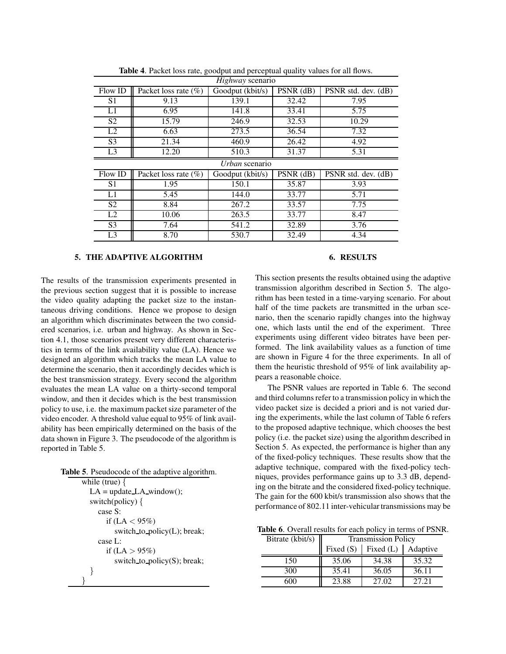| Highway scenario |                          |                  |           |                     |  |
|------------------|--------------------------|------------------|-----------|---------------------|--|
| Flow ID          | Packet loss rate $(\%)$  | Goodput (kbit/s) | PSNR (dB) | PSNR std. dev. (dB) |  |
| S1               | 9.13                     | 139.1            | 32.42     | 7.95                |  |
| $\overline{L1}$  | 6.95                     | 141.8            | 33.41     | 5.75                |  |
| S <sub>2</sub>   | 15.79                    | 246.9            | 32.53     | 10.29               |  |
| L2               | 6.63                     | 273.5            | 36.54     | 7.32                |  |
| S <sub>3</sub>   | 21.34                    | 460.9            | 26.42     | 4.92                |  |
| L <sub>3</sub>   | 12.20                    | 510.3            | 31.37     | 5.31                |  |
| Urban scenario   |                          |                  |           |                     |  |
| Flow ID          | Packet loss rate $(\% )$ | Goodput (kbit/s) | PSNR (dB) | PSNR std. dev. (dB) |  |
| S <sub>1</sub>   | 1.95                     | 150.1            | 35.87     | 3.93                |  |
| L1               | 5.45                     | 144.0            | 33.77     | 5.71                |  |
| S <sub>2</sub>   | 8.84                     | 267.2            | 33.57     | 7.75                |  |
| L2               | 10.06                    | 263.5            | 33.77     | 8.47                |  |
| S <sub>3</sub>   | 7.64                     | 541.2            | 32.89     | 3.76                |  |
| L <sub>3</sub>   | 8.70                     | 530.7            | 32.49     | 4.34                |  |

Table 4. Packet loss rate, goodput and perceptual quality values for all flows.

## 5. THE ADAPTIVE ALGORITHM

The results of the transmission experiments presented in the previous section suggest that it is possible to increase the video quality adapting the packet size to the instantaneous driving conditions. Hence we propose to design an algorithm which discriminates between the two considered scenarios, i.e. urban and highway. As shown in Section 4.1, those scenarios present very different characteristics in terms of the link availability value (LA). Hence we designed an algorithm which tracks the mean LA value to determine the scenario, then it accordingly decides which is the best transmission strategy. Every second the algorithm evaluates the mean LA value on a thirty-second temporal window, and then it decides which is the best transmission policy to use, i.e. the maximum packet size parameter of the video encoder. A threshold value equal to 95% of link availability has been empirically determined on the basis of the data shown in Figure 3. The pseudocode of the algorithm is reported in Table 5.

Table 5. Pseudocode of the adaptive algorithm.

```
while (true) \{LA = update\_LA\_window();switch(policy) {
     case S:
       if (LA < 95\%)
          switch to policy(L); break;
     case L:
       if (LA > 95\%)
          switch to \text{policy}(S); break;
  }
}
```
## 6. RESULTS

This section presents the results obtained using the adaptive transmission algorithm described in Section 5. The algorithm has been tested in a time-varying scenario. For about half of the time packets are transmitted in the urban scenario, then the scenario rapidly changes into the highway one, which lasts until the end of the experiment. Three experiments using different video bitrates have been performed. The link availability values as a function of time are shown in Figure 4 for the three experiments. In all of them the heuristic threshold of 95% of link availability appears a reasonable choice.

The PSNR values are reported in Table 6. The second and third columns refer to a transmission policy in which the video packet size is decided a priori and is not varied during the experiments, while the last column of Table 6 refers to the proposed adaptive technique, which chooses the best policy (i.e. the packet size) using the algorithm described in Section 5. As expected, the performance is higher than any of the fixed-policy techniques. These results show that the adaptive technique, compared with the fixed-policy techniques, provides performance gains up to 3.3 dB, depending on the bitrate and the considered fixed-policy technique. The gain for the 600 kbit/s transmission also shows that the performance of 802.11 inter-vehicular transmissions may be

Table 6. Overall results for each policy in terms of PSNR.

| Bitrate (kbit/s) | <b>Transmission Policy</b> |                         |          |  |
|------------------|----------------------------|-------------------------|----------|--|
|                  |                            | Fixed $(S)$ Fixed $(L)$ | Adaptive |  |
| 150              | 35.06                      | 34.38                   | 35.32    |  |
| 300              | 35.41                      | 36.05                   | 36.11    |  |
| 600              | 23.88                      | 27.02                   | 27.21    |  |